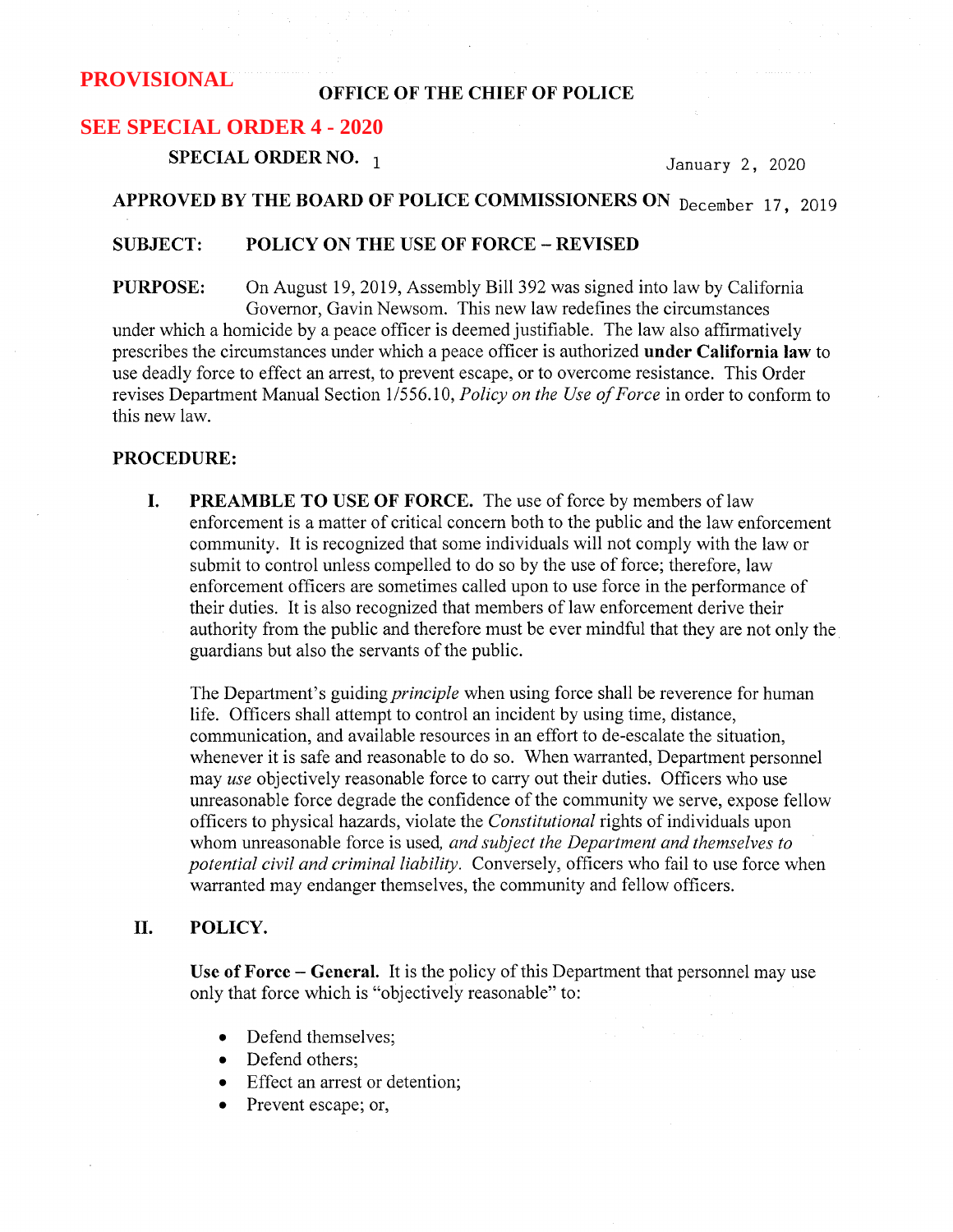#### OFFICE OF THE CHIEF OF POLICE

# **SEE SPECIAL ORDER 4 - 2020**

SPECIAL ORDER NO.  $_1$  January 2, 2020

# APPROVED BY THE BOARD OF POLICE COMMISSIONERS ON December 17, 2019

#### SUBJECT: POLICY ON THE USE OF FORCE —REVISED

PURPOSE: On August 19, 2019, Assembly Bi11392 was signed into law by California Governor, Gavin Newsom. This new law redefines the circumstances under which a homicide by a peace officer is deemed justifiable. The law also affirmatively prescribes the circumstances under which a peace officer is authorized under California law to use deadly force to effect an arrest, to prevent escape, or to overcome resistance. This Order revises Department Manual Section 1/556.10, Policy on the Use of Force in order to conform to this new law.

#### PROCEDURE:

I. PREAMBLE TO USE OF FORCE. The use of force by members of law enforcement is a matter of critical concern both to the public and the law enforcement community. It is recognized that some individuals will not comply with the law or submit to control unless compelled to do so by the use of force; therefore, law enforcement officers are sometimes called upon to use force in the performance of their duties. It is also recognized that members of law enforcement derive their authority from the public and therefore must be ever mindful that they are not only the guardians but also the servants of the public.

The Department's guiding *principle* when using force shall be reverence for human life. Officers shall attempt to control an incident by using time, distance, communication, and available resources in an effort to de-escalate the situation, whenever it is safe and reasonable to do so. When warranted, Department personnel may use objectively reasonable force to carry out their duties. Officers who use unreasonable force degrade the confidence of the community we serve, expose fellow officers to physical hazards, violate the Constitutional rights of individuals upon whom unreasonable force is used, and subject the Department and themselves to potential civil and criminal liability. Conversely, officers who fail to use force when warranted may endanger themselves, the community and fellow officers.

## II. POLICY.

Use of Force – General. It is the policy of this Department that personnel may use only that force which is "objectively reasonable" to:

- Defend themselves;
- Defend others;
- Effect an arrest or detention;
- Prevent escape; or,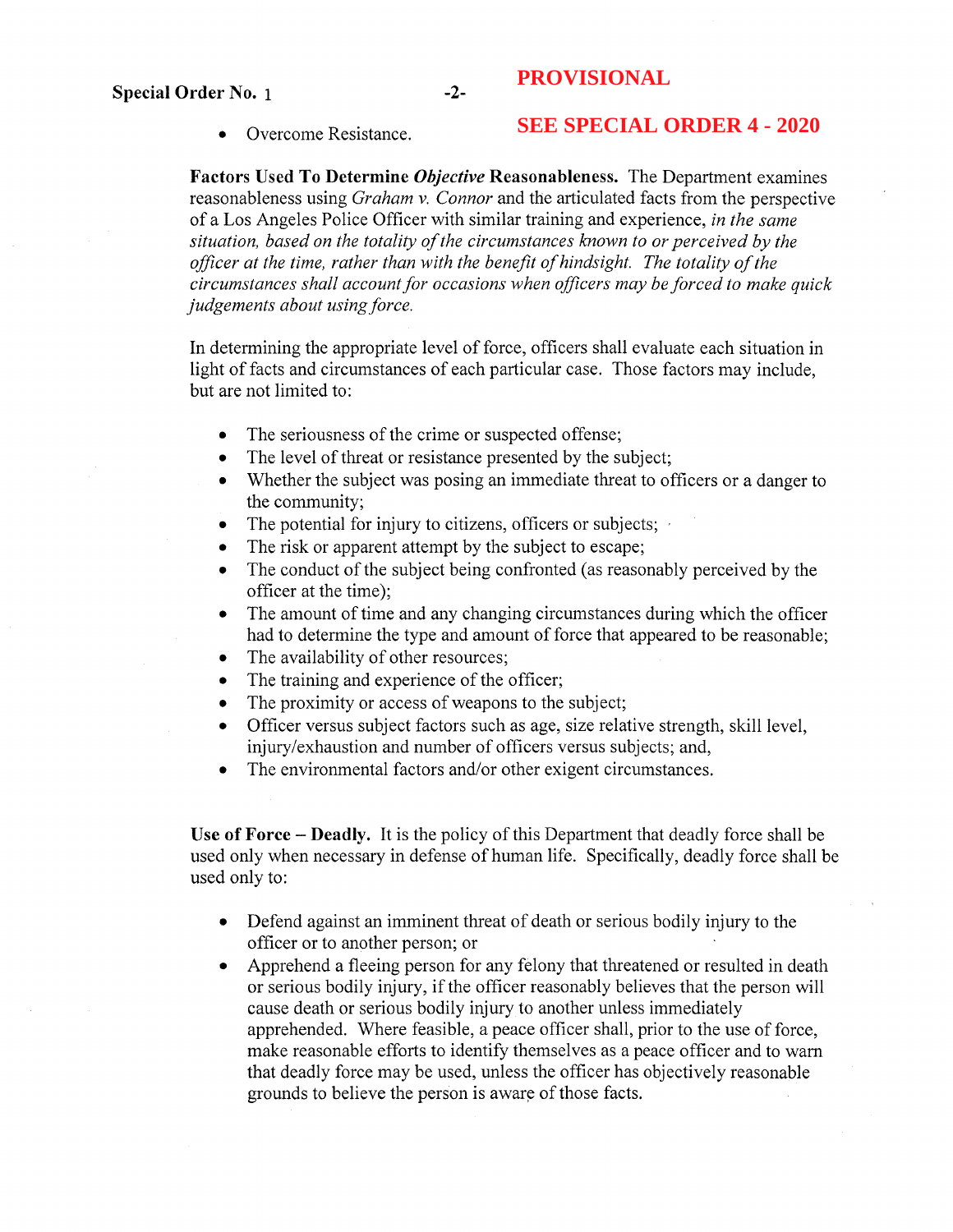• Overcome Resistance.

# **SEE SPECIAL ORDER 4 - 2020**

Factors Used To Determine *Objective* Reasonableness. The Department examines reasonableness using *Graham v. Connor* and the articulated facts from the perspective of a Los Angeles Police Officer with similar training and experience, in the same situation, based on the totality of the circumstances known to or perceived by the officer at the time, rather than with the benefit of hindsight. The totality of the circumstances shall account for occasions when officers may be forced to make quick judgements about using force.

In determining the appropriate level of force, officers shall evaluate each situation in light of facts and circumstances of each particular case. Those factors may include, but are not limited to:

- The seriousness of the crime or suspected offense;
- The level of threat or resistance presented by the subject;
- Whether the subject was posing an immediate threat to officers or a danger to the community;
- The potential for injury to citizens, officers or subjects;
- The risk or apparent attempt by the subject to escape;
- The conduct of the subject being confronted (as reasonably perceived by the officer at the time);
- The amount of time and any changing circumstances during which the officer had to determine the type and amount of force that appeared to be reasonable;
- The availability of other resources;
- The training and experience of the officer;
- The proximity or access of weapons to the subject;
- Officer versus subject factors such as age, size relative strength, skill level, injury/exhaustion and number of officers versus subjects; and,
- The environmental factors and/or other exigent circumstances.

Use of Force – Deadly. It is the policy of this Department that deadly force shall be used only when necessary in defense of human life. Specifically, deadly force shall be used only to:

- Defend against an imminent threat of death or serious bodily injury to the officer or to another person; or
- Apprehend a fleeing person for any felony that threatened or resulted in death or serious bodily injury, if the officer reasonably believes that the person will cause death or serious bodily injury to another unless immediately apprehended. Where feasible, a peace officer shall, prior to the use of force, make reasonable efforts to identify themselves as a peace officer and to warn that deadly force may be used, unless the officer has objectively reasonable grounds to believe the person is aware of those facts.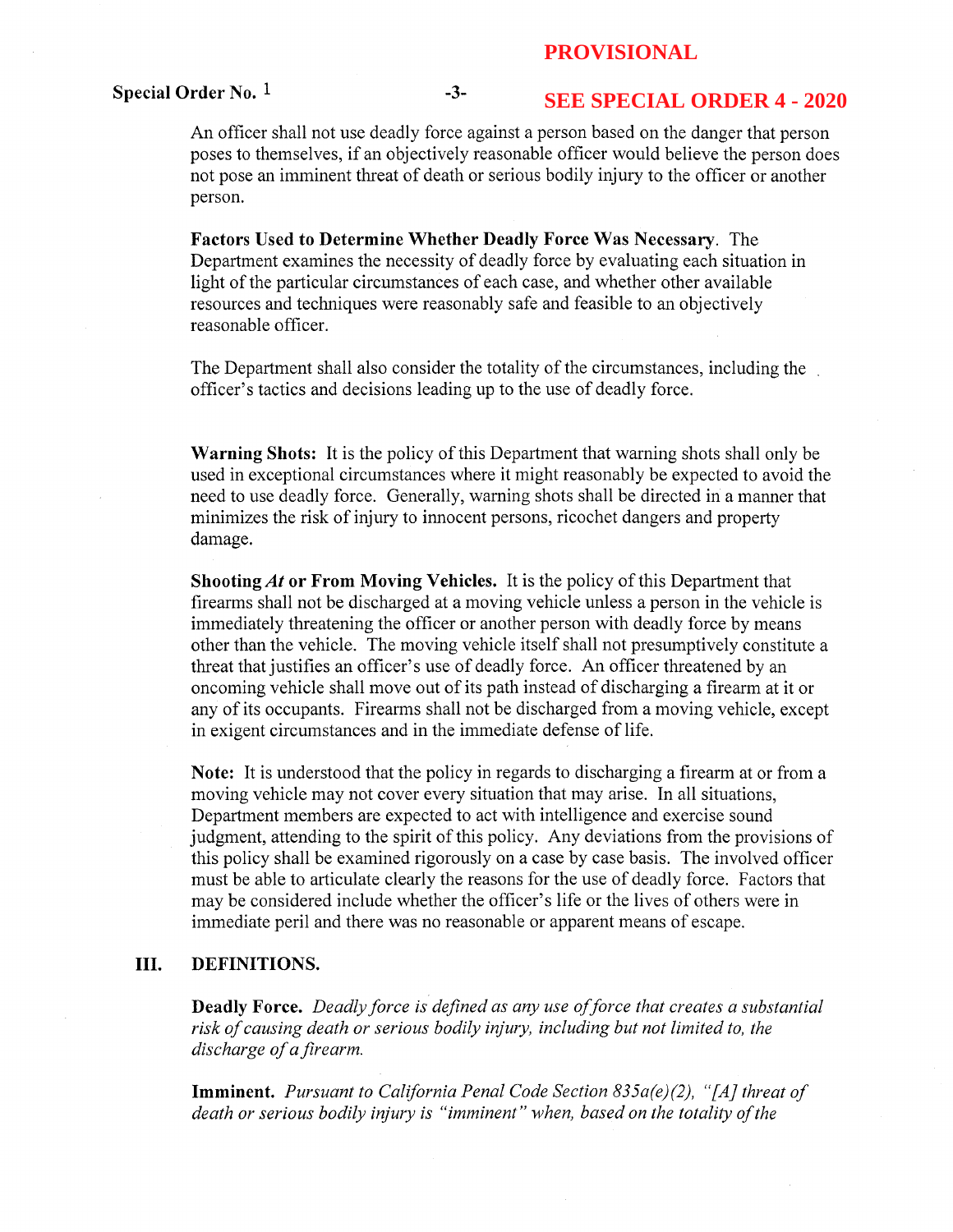#### Special Order No.  $1$  -3-

# **SEE SPECIAL ORDER 4 - 2020**

An officer shall not use deadly force against a person based on the danger that person poses to themselves, if an objectively reasonable officer would believe the person does not pose an imminent threat of death or serious bodily injury to the officer or another person.

Factors Used to Determine Whether Deadly Force Was Necessary. The Department examines the necessity of deadly force by evaluating each situation in light of the particular circumstances of each case, and whether other available resources and techniques were reasonably safe and feasible to an objectively reasonable officer.

The Department shall also consider the totality of the circumstances, including the officer's tactics and decisions leading up to the use of deadly force.

Warning Shots: It is the policy of this Department that warning shots shall only be used in exceptional circumstances where it might reasonably be expected to avoid the need to use deadly force. Generally, warning shots shall be directed in a manner that minimizes the risk of injury to innocent persons, ricochet dangers and property damage.

Shooting At or From Moving Vehicles. It is the policy of this Department that firearms shall not be discharged at a moving vehicle unless a person in the vehicle is immediately threatening the officer or another person with deadly force by means other than the vehicle. The moving vehicle itself shall not presumptively constitute a threat that justifies an officer's use of deadly force. An officer threatened by an oncoming vehicle shall move out of its path instead of discharging a firearm at it or any of its occupants. Firearms shall not be discharged from a moving vehicle, except in exigent circumstances and in the immediate defense of life.

Note: It is understood that the policy in regards to discharging a firearm at or from a moving vehicle may not cover every situation that may arise. In all situations, Department members are expected to act with intelligence and exercise sound judgment, attending to the spirit of this policy. Any deviations from the provisions of this policy shall be examined rigorously on a case by case basis. The involved officer must be able to articulate clearly the reasons for the use of deadly force. Factors that may be considered include whether the officer's life or the lives of others were in immediate peril and there was no reasonable or apparent means of escape.

### III. DEFINITIONS.

**Deadly Force.** Deadly force is defined as any use of force that creates a substantial risk of causing death or serious bodily injury, including but not limited to, the discharge of a firearm.

**Imminent.** Pursuant to California Penal Code Section  $835a(e)(2)$ , "[A] threat of death or serious bodily injury is "imminent" when, based on the totality of the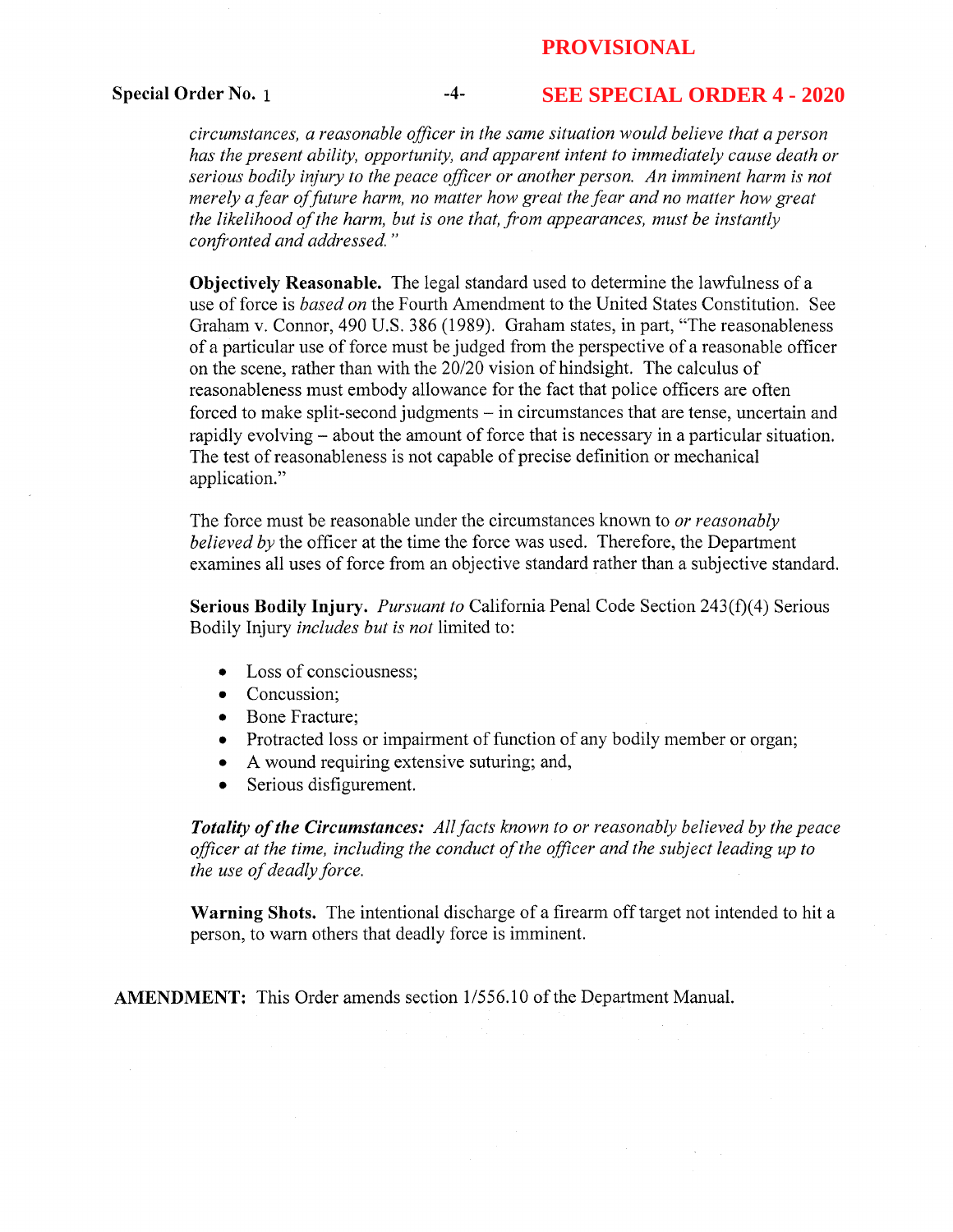#### Special Order No. 1 -4-

## **SEE SPECIAL ORDER 4 - 2020**

circumstances, a reasonable officer in the same situation would believe that a person has the present ability, opportunity, and apparent intent to immediately cause death or serious bodily injury to the peace officer or another person. An imminent harm is not merely a fear of future harm, no matter how great the fear and no matter how great the likelihood of the harm, but is one that, from appearances, must be instantly confronted and addressed. "

Objectively Reasonable. The legal standard used to determine the lawfulness of a use of force is based on the Fourth Amendment to the United States Constitution. See Graham v. Connor, 490 U.S. 386 (1989). Graham states, in part, "The reasonableness of a particular use of force must be judged from the perspective of a reasonable officer on the scene, rather than with the 20/20 vision of hindsight. The calculus of reasonableness must embody allowance for the fact that police officers are often forced to make split-second judgments — in circumstances that are tense, uncertain and rapidly evolving —about the amount of force that is necessary in a particular situation. The test of reasonableness is not capable of precise definition or mechanical application."

The force must be reasonable under the circumstances known to *or reasonably* believed by the officer at the time the force was used. Therefore, the Department examines all uses of force from an objective standard rather than a subjective standard.

Serious Bodily Injury. Pursuant to California Penal Code Section  $243(f)(4)$  Serious Bodily Injury includes but is not limited to:

- Loss of consciousness;
- Concussion;
- Bone Fracture;
- Protracted loss or impairment of function of any bodily member or organ;
- A wound requiring extensive suturing; and,
- Serious disfigurement.

**Totality of the Circumstances:** All facts known to or reasonably believed by the peace officer at the time, including the conduct of the officer and the subject leading up to the use of deadly force.

Warning Shots. The intentional discharge of a firearm off target not intended to hit a person, to warn others that deadly force is imminent.

AMENDMENT: This Order amends section 1/556.10 of the Department Manual.